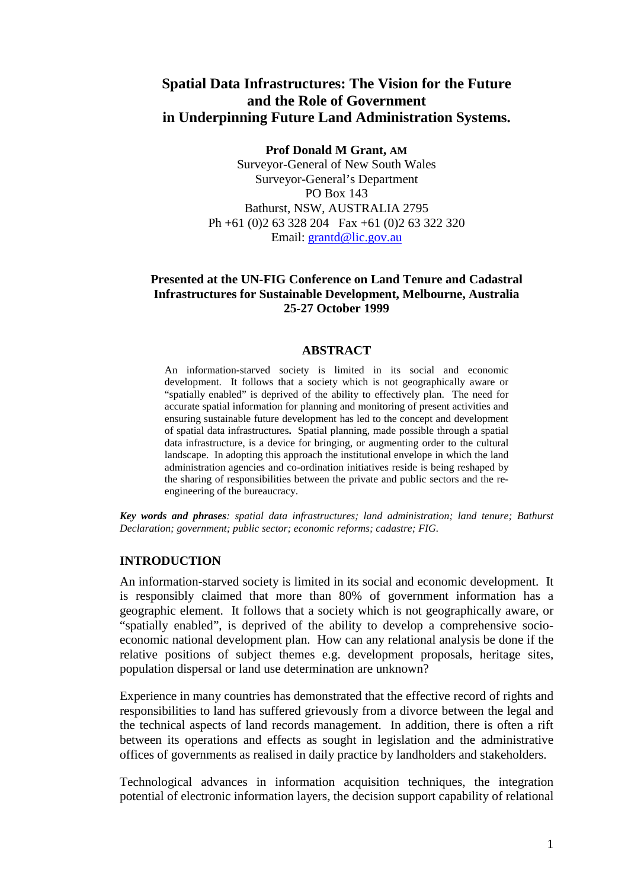# **Spatial Data Infrastructures: The Vision for the Future and the Role of Government in Underpinning Future Land Administration Systems.**

**Prof Donald M Grant, AM**

Surveyor-General of New South Wales Surveyor-General's Department PO Box 143 Bathurst, NSW, AUSTRALIA 2795 Ph +61 (0)2 63 328 204 Fax +61 (0)2 63 322 320 Email: grantd@lic.gov.au

#### **Presented at the UN-FIG Conference on Land Tenure and Cadastral Infrastructures for Sustainable Development, Melbourne, Australia 25-27 October 1999**

#### **ABSTRACT**

An information-starved society is limited in its social and economic development. It follows that a society which is not geographically aware or "spatially enabled" is deprived of the ability to effectively plan. The need for accurate spatial information for planning and monitoring of present activities and ensuring sustainable future development has led to the concept and development of spatial data infrastructures**.** Spatial planning, made possible through a spatial data infrastructure, is a device for bringing, or augmenting order to the cultural landscape. In adopting this approach the institutional envelope in which the land administration agencies and co-ordination initiatives reside is being reshaped by the sharing of responsibilities between the private and public sectors and the reengineering of the bureaucracy.

*Key words and phrases: spatial data infrastructures; land administration; land tenure; Bathurst Declaration; government; public sector; economic reforms; cadastre; FIG.*

#### **INTRODUCTION**

An information-starved society is limited in its social and economic development. It is responsibly claimed that more than 80% of government information has a geographic element. It follows that a society which is not geographically aware, or "spatially enabled", is deprived of the ability to develop a comprehensive socioeconomic national development plan. How can any relational analysis be done if the relative positions of subject themes e.g. development proposals, heritage sites, population dispersal or land use determination are unknown?

Experience in many countries has demonstrated that the effective record of rights and responsibilities to land has suffered grievously from a divorce between the legal and the technical aspects of land records management. In addition, there is often a rift between its operations and effects as sought in legislation and the administrative offices of governments as realised in daily practice by landholders and stakeholders.

Technological advances in information acquisition techniques, the integration potential of electronic information layers, the decision support capability of relational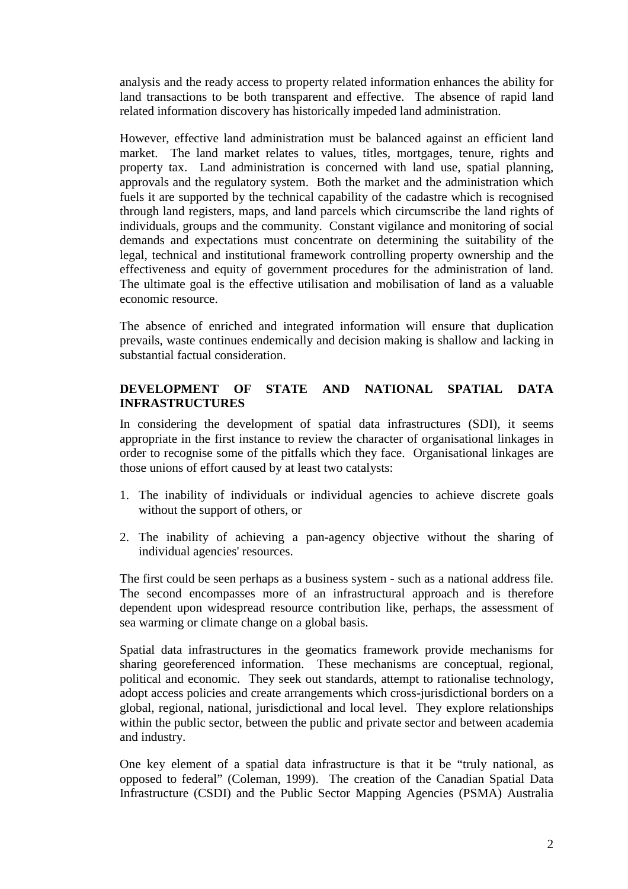analysis and the ready access to property related information enhances the ability for land transactions to be both transparent and effective. The absence of rapid land related information discovery has historically impeded land administration.

However, effective land administration must be balanced against an efficient land market. The land market relates to values, titles, mortgages, tenure, rights and property tax. Land administration is concerned with land use, spatial planning, approvals and the regulatory system. Both the market and the administration which fuels it are supported by the technical capability of the cadastre which is recognised through land registers, maps, and land parcels which circumscribe the land rights of individuals, groups and the community. Constant vigilance and monitoring of social demands and expectations must concentrate on determining the suitability of the legal, technical and institutional framework controlling property ownership and the effectiveness and equity of government procedures for the administration of land. The ultimate goal is the effective utilisation and mobilisation of land as a valuable economic resource.

The absence of enriched and integrated information will ensure that duplication prevails, waste continues endemically and decision making is shallow and lacking in substantial factual consideration.

## **DEVELOPMENT OF STATE AND NATIONAL SPATIAL DATA INFRASTRUCTURES**

In considering the development of spatial data infrastructures (SDI), it seems appropriate in the first instance to review the character of organisational linkages in order to recognise some of the pitfalls which they face. Organisational linkages are those unions of effort caused by at least two catalysts:

- 1. The inability of individuals or individual agencies to achieve discrete goals without the support of others, or
- 2. The inability of achieving a pan-agency objective without the sharing of individual agencies' resources.

The first could be seen perhaps as a business system - such as a national address file. The second encompasses more of an infrastructural approach and is therefore dependent upon widespread resource contribution like, perhaps, the assessment of sea warming or climate change on a global basis.

Spatial data infrastructures in the geomatics framework provide mechanisms for sharing georeferenced information. These mechanisms are conceptual, regional, political and economic. They seek out standards, attempt to rationalise technology, adopt access policies and create arrangements which cross-jurisdictional borders on a global, regional, national, jurisdictional and local level. They explore relationships within the public sector, between the public and private sector and between academia and industry.

One key element of a spatial data infrastructure is that it be "truly national, as opposed to federal" (Coleman, 1999). The creation of the Canadian Spatial Data Infrastructure (CSDI) and the Public Sector Mapping Agencies (PSMA) Australia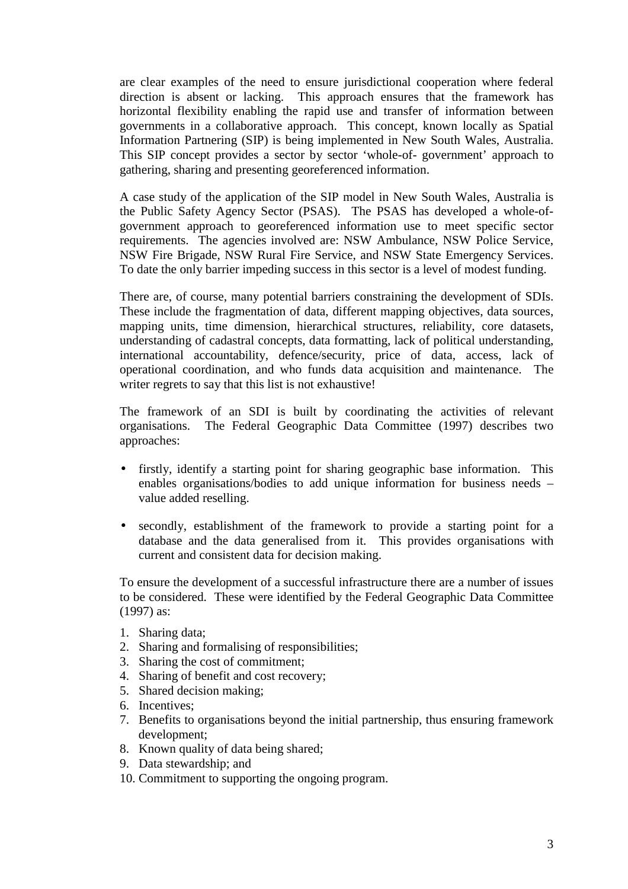are clear examples of the need to ensure jurisdictional cooperation where federal direction is absent or lacking. This approach ensures that the framework has horizontal flexibility enabling the rapid use and transfer of information between governments in a collaborative approach. This concept, known locally as Spatial Information Partnering (SIP) is being implemented in New South Wales, Australia. This SIP concept provides a sector by sector 'whole-of- government' approach to gathering, sharing and presenting georeferenced information.

A case study of the application of the SIP model in New South Wales, Australia is the Public Safety Agency Sector (PSAS). The PSAS has developed a whole-ofgovernment approach to georeferenced information use to meet specific sector requirements. The agencies involved are: NSW Ambulance, NSW Police Service, NSW Fire Brigade, NSW Rural Fire Service, and NSW State Emergency Services. To date the only barrier impeding success in this sector is a level of modest funding.

There are, of course, many potential barriers constraining the development of SDIs. These include the fragmentation of data, different mapping objectives, data sources, mapping units, time dimension, hierarchical structures, reliability, core datasets, understanding of cadastral concepts, data formatting, lack of political understanding, international accountability, defence/security, price of data, access, lack of operational coordination, and who funds data acquisition and maintenance. The writer regrets to say that this list is not exhaustive!

The framework of an SDI is built by coordinating the activities of relevant organisations. The Federal Geographic Data Committee (1997) describes two approaches:

- firstly, identify a starting point for sharing geographic base information. This enables organisations/bodies to add unique information for business needs – value added reselling.
- secondly, establishment of the framework to provide a starting point for a database and the data generalised from it. This provides organisations with current and consistent data for decision making.

To ensure the development of a successful infrastructure there are a number of issues to be considered. These were identified by the Federal Geographic Data Committee (1997) as:

- 1. Sharing data;
- 2. Sharing and formalising of responsibilities;
- 3. Sharing the cost of commitment;
- 4. Sharing of benefit and cost recovery;
- 5. Shared decision making;
- 6. Incentives;
- 7. Benefits to organisations beyond the initial partnership, thus ensuring framework development;
- 8. Known quality of data being shared;
- 9. Data stewardship; and
- 10. Commitment to supporting the ongoing program.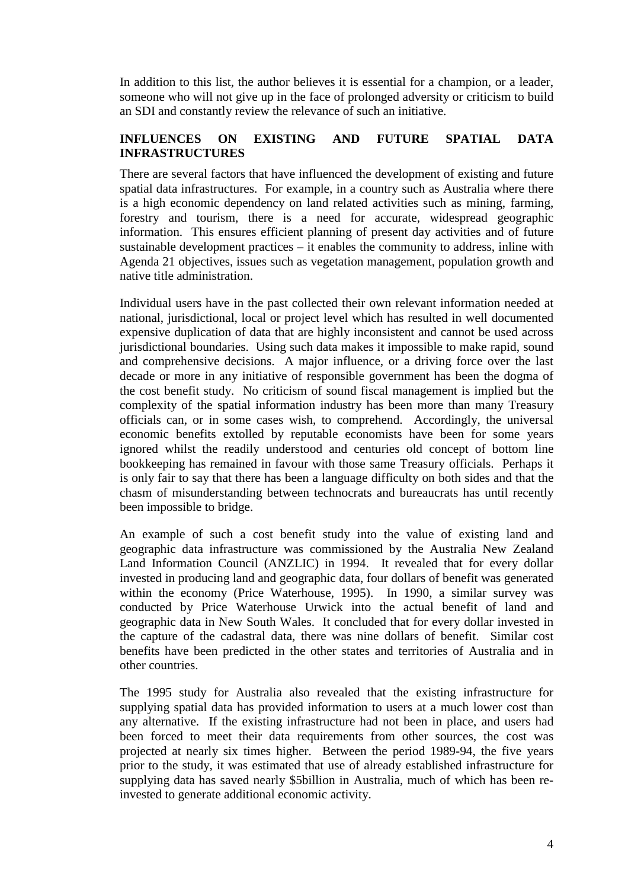In addition to this list, the author believes it is essential for a champion, or a leader, someone who will not give up in the face of prolonged adversity or criticism to build an SDI and constantly review the relevance of such an initiative.

## **INFLUENCES ON EXISTING AND FUTURE SPATIAL DATA INFRASTRUCTURES**

There are several factors that have influenced the development of existing and future spatial data infrastructures. For example, in a country such as Australia where there is a high economic dependency on land related activities such as mining, farming, forestry and tourism, there is a need for accurate, widespread geographic information. This ensures efficient planning of present day activities and of future sustainable development practices – it enables the community to address, inline with Agenda 21 objectives, issues such as vegetation management, population growth and native title administration.

Individual users have in the past collected their own relevant information needed at national, jurisdictional, local or project level which has resulted in well documented expensive duplication of data that are highly inconsistent and cannot be used across jurisdictional boundaries. Using such data makes it impossible to make rapid, sound and comprehensive decisions. A major influence, or a driving force over the last decade or more in any initiative of responsible government has been the dogma of the cost benefit study. No criticism of sound fiscal management is implied but the complexity of the spatial information industry has been more than many Treasury officials can, or in some cases wish, to comprehend. Accordingly, the universal economic benefits extolled by reputable economists have been for some years ignored whilst the readily understood and centuries old concept of bottom line bookkeeping has remained in favour with those same Treasury officials. Perhaps it is only fair to say that there has been a language difficulty on both sides and that the chasm of misunderstanding between technocrats and bureaucrats has until recently been impossible to bridge.

An example of such a cost benefit study into the value of existing land and geographic data infrastructure was commissioned by the Australia New Zealand Land Information Council (ANZLIC) in 1994. It revealed that for every dollar invested in producing land and geographic data, four dollars of benefit was generated within the economy (Price Waterhouse, 1995). In 1990, a similar survey was conducted by Price Waterhouse Urwick into the actual benefit of land and geographic data in New South Wales. It concluded that for every dollar invested in the capture of the cadastral data, there was nine dollars of benefit. Similar cost benefits have been predicted in the other states and territories of Australia and in other countries.

The 1995 study for Australia also revealed that the existing infrastructure for supplying spatial data has provided information to users at a much lower cost than any alternative. If the existing infrastructure had not been in place, and users had been forced to meet their data requirements from other sources, the cost was projected at nearly six times higher. Between the period 1989-94, the five years prior to the study, it was estimated that use of already established infrastructure for supplying data has saved nearly \$5billion in Australia, much of which has been reinvested to generate additional economic activity.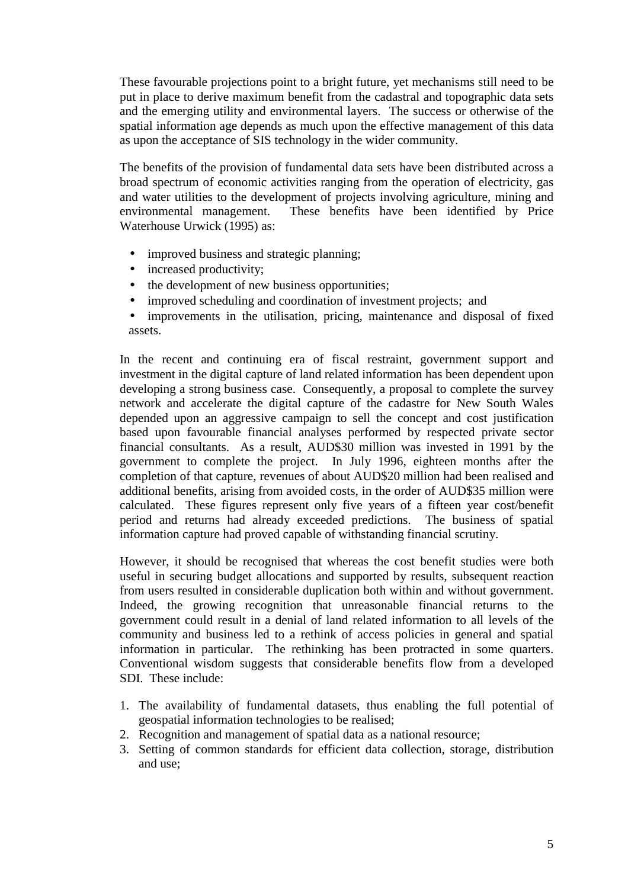These favourable projections point to a bright future, yet mechanisms still need to be put in place to derive maximum benefit from the cadastral and topographic data sets and the emerging utility and environmental layers. The success or otherwise of the spatial information age depends as much upon the effective management of this data as upon the acceptance of SIS technology in the wider community.

The benefits of the provision of fundamental data sets have been distributed across a broad spectrum of economic activities ranging from the operation of electricity, gas and water utilities to the development of projects involving agriculture, mining and environmental management. These benefits have been identified by Price Waterhouse Urwick (1995) as:

- improved business and strategic planning;
- increased productivity;
- the development of new business opportunities:
- improved scheduling and coordination of investment projects; and
- improvements in the utilisation, pricing, maintenance and disposal of fixed assets.

In the recent and continuing era of fiscal restraint, government support and investment in the digital capture of land related information has been dependent upon developing a strong business case. Consequently, a proposal to complete the survey network and accelerate the digital capture of the cadastre for New South Wales depended upon an aggressive campaign to sell the concept and cost justification based upon favourable financial analyses performed by respected private sector financial consultants. As a result, AUD\$30 million was invested in 1991 by the government to complete the project. In July 1996, eighteen months after the completion of that capture, revenues of about AUD\$20 million had been realised and additional benefits, arising from avoided costs, in the order of AUD\$35 million were calculated. These figures represent only five years of a fifteen year cost/benefit period and returns had already exceeded predictions. The business of spatial information capture had proved capable of withstanding financial scrutiny.

However, it should be recognised that whereas the cost benefit studies were both useful in securing budget allocations and supported by results, subsequent reaction from users resulted in considerable duplication both within and without government. Indeed, the growing recognition that unreasonable financial returns to the government could result in a denial of land related information to all levels of the community and business led to a rethink of access policies in general and spatial information in particular. The rethinking has been protracted in some quarters. Conventional wisdom suggests that considerable benefits flow from a developed SDI. These include:

- 1. The availability of fundamental datasets, thus enabling the full potential of geospatial information technologies to be realised;
- 2. Recognition and management of spatial data as a national resource;
- 3. Setting of common standards for efficient data collection, storage, distribution and use;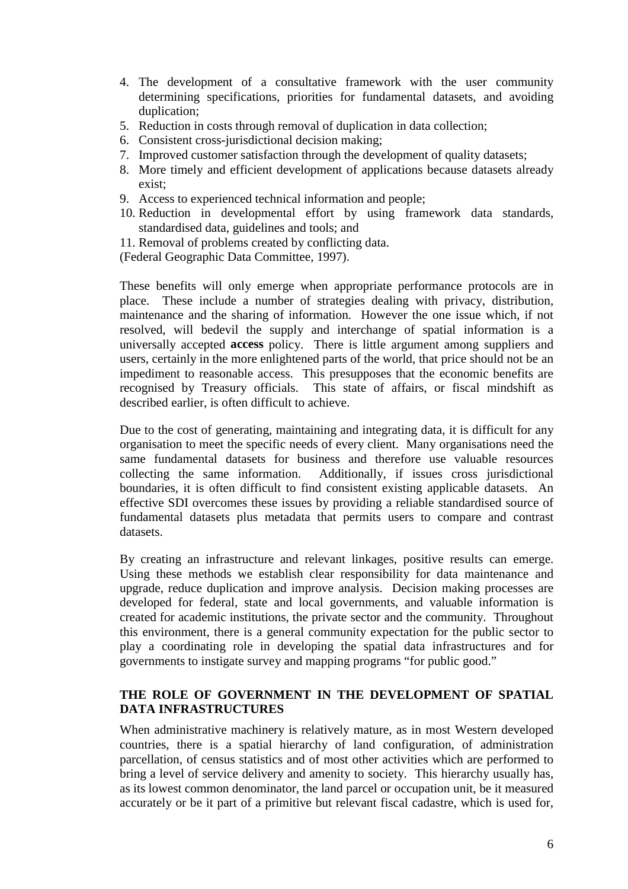- 4. The development of a consultative framework with the user community determining specifications, priorities for fundamental datasets, and avoiding duplication;
- 5. Reduction in costs through removal of duplication in data collection;
- 6. Consistent cross-jurisdictional decision making;
- 7. Improved customer satisfaction through the development of quality datasets;
- 8. More timely and efficient development of applications because datasets already exist;
- 9. Access to experienced technical information and people;
- 10. Reduction in developmental effort by using framework data standards, standardised data, guidelines and tools; and
- 11. Removal of problems created by conflicting data.

(Federal Geographic Data Committee, 1997).

These benefits will only emerge when appropriate performance protocols are in place. These include a number of strategies dealing with privacy, distribution, maintenance and the sharing of information. However the one issue which, if not resolved, will bedevil the supply and interchange of spatial information is a universally accepted **access** policy. There is little argument among suppliers and users, certainly in the more enlightened parts of the world, that price should not be an impediment to reasonable access. This presupposes that the economic benefits are recognised by Treasury officials. This state of affairs, or fiscal mindshift as described earlier, is often difficult to achieve.

Due to the cost of generating, maintaining and integrating data, it is difficult for any organisation to meet the specific needs of every client. Many organisations need the same fundamental datasets for business and therefore use valuable resources collecting the same information. Additionally, if issues cross jurisdictional boundaries, it is often difficult to find consistent existing applicable datasets. An effective SDI overcomes these issues by providing a reliable standardised source of fundamental datasets plus metadata that permits users to compare and contrast datasets.

By creating an infrastructure and relevant linkages, positive results can emerge. Using these methods we establish clear responsibility for data maintenance and upgrade, reduce duplication and improve analysis. Decision making processes are developed for federal, state and local governments, and valuable information is created for academic institutions, the private sector and the community. Throughout this environment, there is a general community expectation for the public sector to play a coordinating role in developing the spatial data infrastructures and for governments to instigate survey and mapping programs "for public good."

## **THE ROLE OF GOVERNMENT IN THE DEVELOPMENT OF SPATIAL DATA INFRASTRUCTURES**

When administrative machinery is relatively mature, as in most Western developed countries, there is a spatial hierarchy of land configuration, of administration parcellation, of census statistics and of most other activities which are performed to bring a level of service delivery and amenity to society. This hierarchy usually has, as its lowest common denominator, the land parcel or occupation unit, be it measured accurately or be it part of a primitive but relevant fiscal cadastre, which is used for,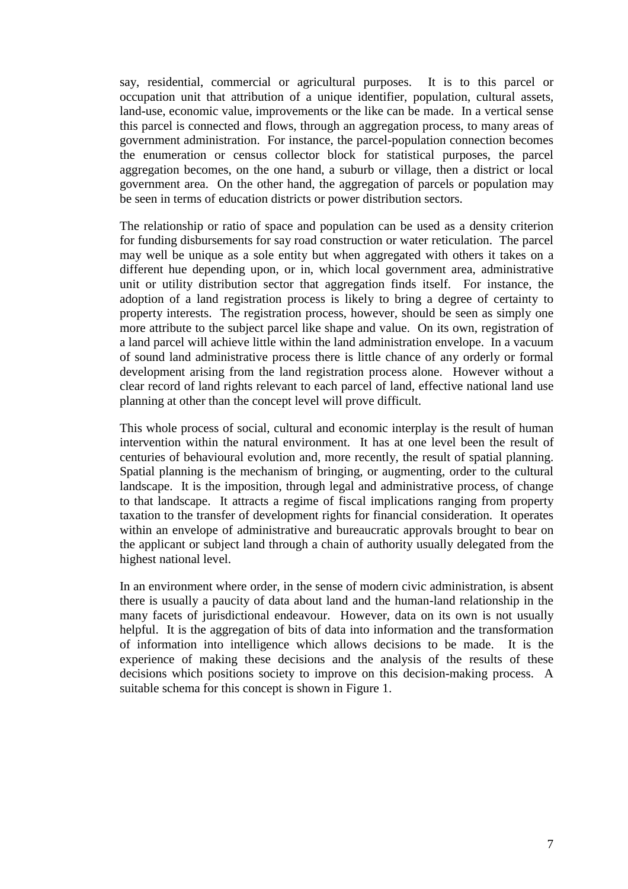say, residential, commercial or agricultural purposes. It is to this parcel or occupation unit that attribution of a unique identifier, population, cultural assets, land-use, economic value, improvements or the like can be made. In a vertical sense this parcel is connected and flows, through an aggregation process, to many areas of government administration. For instance, the parcel-population connection becomes the enumeration or census collector block for statistical purposes, the parcel aggregation becomes, on the one hand, a suburb or village, then a district or local government area. On the other hand, the aggregation of parcels or population may be seen in terms of education districts or power distribution sectors.

The relationship or ratio of space and population can be used as a density criterion for funding disbursements for say road construction or water reticulation. The parcel may well be unique as a sole entity but when aggregated with others it takes on a different hue depending upon, or in, which local government area, administrative unit or utility distribution sector that aggregation finds itself. For instance, the adoption of a land registration process is likely to bring a degree of certainty to property interests. The registration process, however, should be seen as simply one more attribute to the subject parcel like shape and value. On its own, registration of a land parcel will achieve little within the land administration envelope. In a vacuum of sound land administrative process there is little chance of any orderly or formal development arising from the land registration process alone. However without a clear record of land rights relevant to each parcel of land, effective national land use planning at other than the concept level will prove difficult.

This whole process of social, cultural and economic interplay is the result of human intervention within the natural environment. It has at one level been the result of centuries of behavioural evolution and, more recently, the result of spatial planning. Spatial planning is the mechanism of bringing, or augmenting, order to the cultural landscape. It is the imposition, through legal and administrative process, of change to that landscape. It attracts a regime of fiscal implications ranging from property taxation to the transfer of development rights for financial consideration. It operates within an envelope of administrative and bureaucratic approvals brought to bear on the applicant or subject land through a chain of authority usually delegated from the highest national level.

In an environment where order, in the sense of modern civic administration, is absent there is usually a paucity of data about land and the human-land relationship in the many facets of jurisdictional endeavour. However, data on its own is not usually helpful. It is the aggregation of bits of data into information and the transformation of information into intelligence which allows decisions to be made. It is the experience of making these decisions and the analysis of the results of these decisions which positions society to improve on this decision-making process. A suitable schema for this concept is shown in Figure 1.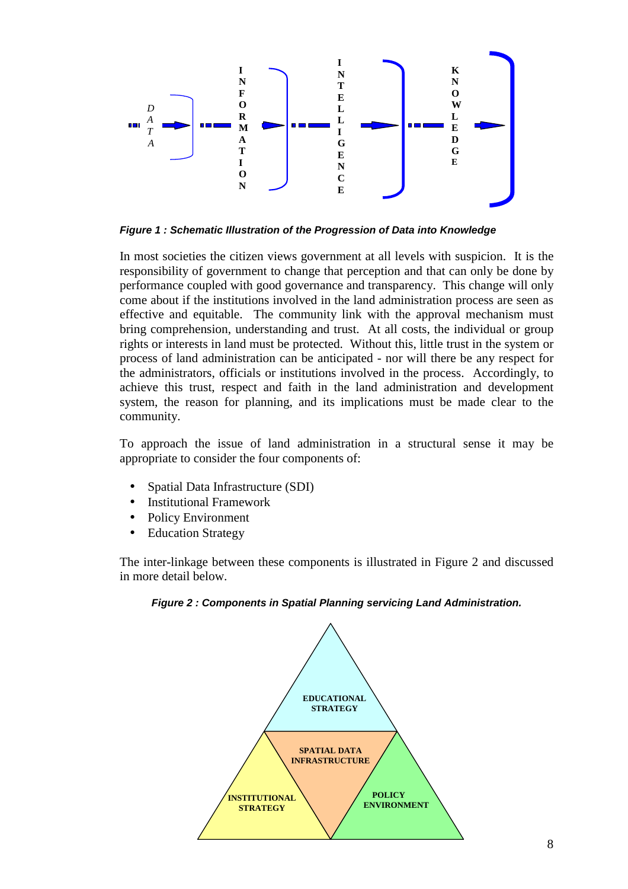

*Figure 1 : Schematic Illustration of the Progression of Data into Knowledge*

In most societies the citizen views government at all levels with suspicion. It is the responsibility of government to change that perception and that can only be done by performance coupled with good governance and transparency. This change will only come about if the institutions involved in the land administration process are seen as effective and equitable. The community link with the approval mechanism must bring comprehension, understanding and trust. At all costs, the individual or group rights or interests in land must be protected. Without this, little trust in the system or process of land administration can be anticipated - nor will there be any respect for the administrators, officials or institutions involved in the process. Accordingly, to achieve this trust, respect and faith in the land administration and development system, the reason for planning, and its implications must be made clear to the community.

To approach the issue of land administration in a structural sense it may be appropriate to consider the four components of:

- Spatial Data Infrastructure (SDI)
- Institutional Framework
- Policy Environment
- Education Strategy

The inter-linkage between these components is illustrated in Figure 2 and discussed in more detail below.



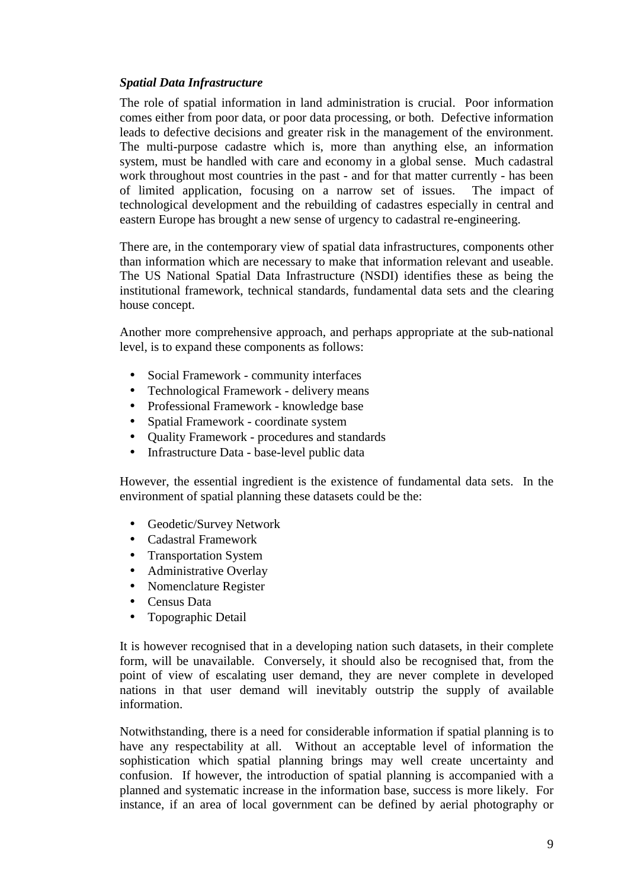### *Spatial Data Infrastructure*

The role of spatial information in land administration is crucial. Poor information comes either from poor data, or poor data processing, or both. Defective information leads to defective decisions and greater risk in the management of the environment. The multi-purpose cadastre which is, more than anything else, an information system, must be handled with care and economy in a global sense. Much cadastral work throughout most countries in the past - and for that matter currently - has been of limited application, focusing on a narrow set of issues. The impact of technological development and the rebuilding of cadastres especially in central and eastern Europe has brought a new sense of urgency to cadastral re-engineering.

There are, in the contemporary view of spatial data infrastructures, components other than information which are necessary to make that information relevant and useable. The US National Spatial Data Infrastructure (NSDI) identifies these as being the institutional framework, technical standards, fundamental data sets and the clearing house concept.

Another more comprehensive approach, and perhaps appropriate at the sub-national level, is to expand these components as follows:

- Social Framework community interfaces
- Technological Framework delivery means
- Professional Framework knowledge base
- Spatial Framework coordinate system
- Quality Framework procedures and standards
- Infrastructure Data base-level public data

However, the essential ingredient is the existence of fundamental data sets. In the environment of spatial planning these datasets could be the:

- Geodetic/Survey Network
- Cadastral Framework
- Transportation System
- Administrative Overlay
- Nomenclature Register
- Census Data
- Topographic Detail

It is however recognised that in a developing nation such datasets, in their complete form, will be unavailable. Conversely, it should also be recognised that, from the point of view of escalating user demand, they are never complete in developed nations in that user demand will inevitably outstrip the supply of available information.

Notwithstanding, there is a need for considerable information if spatial planning is to have any respectability at all. Without an acceptable level of information the sophistication which spatial planning brings may well create uncertainty and confusion. If however, the introduction of spatial planning is accompanied with a planned and systematic increase in the information base, success is more likely. For instance, if an area of local government can be defined by aerial photography or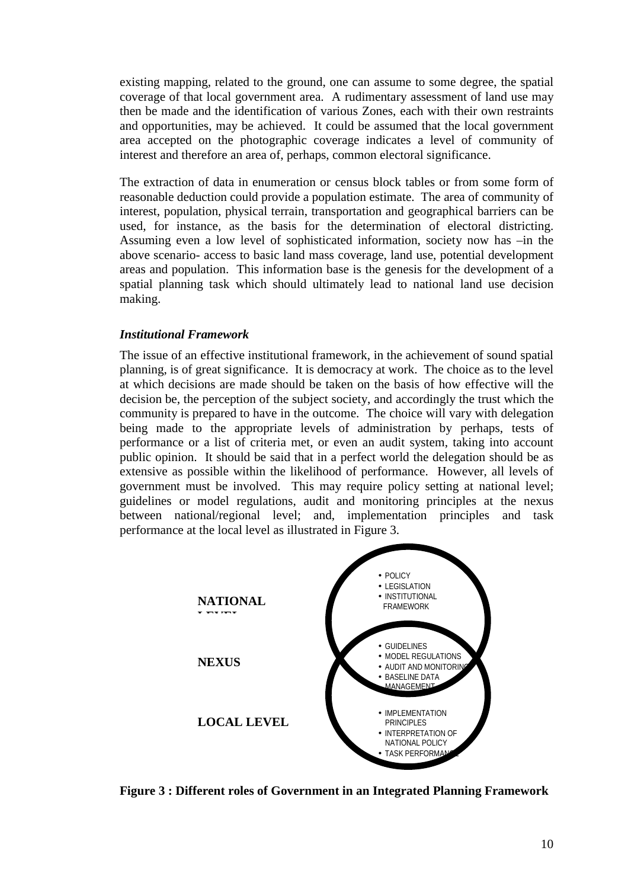existing mapping, related to the ground, one can assume to some degree, the spatial coverage of that local government area. A rudimentary assessment of land use may then be made and the identification of various Zones, each with their own restraints and opportunities, may be achieved. It could be assumed that the local government area accepted on the photographic coverage indicates a level of community of interest and therefore an area of, perhaps, common electoral significance.

The extraction of data in enumeration or census block tables or from some form of reasonable deduction could provide a population estimate. The area of community of interest, population, physical terrain, transportation and geographical barriers can be used, for instance, as the basis for the determination of electoral districting. Assuming even a low level of sophisticated information, society now has –in the above scenario- access to basic land mass coverage, land use, potential development areas and population. This information base is the genesis for the development of a spatial planning task which should ultimately lead to national land use decision making.

### *Institutional Framework*

The issue of an effective institutional framework, in the achievement of sound spatial planning, is of great significance. It is democracy at work. The choice as to the level at which decisions are made should be taken on the basis of how effective will the decision be, the perception of the subject society, and accordingly the trust which the community is prepared to have in the outcome. The choice will vary with delegation being made to the appropriate levels of administration by perhaps, tests of performance or a list of criteria met, or even an audit system, taking into account public opinion. It should be said that in a perfect world the delegation should be as extensive as possible within the likelihood of performance. However, all levels of government must be involved. This may require policy setting at national level; guidelines or model regulations, audit and monitoring principles at the nexus between national/regional level; and, implementation principles and task performance at the local level as illustrated in Figure 3.



**Figure 3 : Different roles of Government in an Integrated Planning Framework**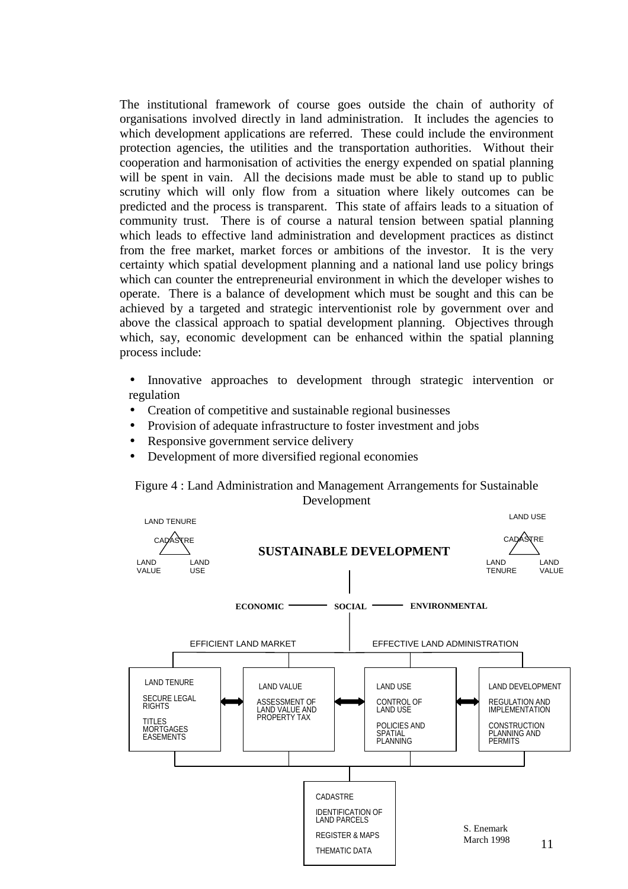The institutional framework of course goes outside the chain of authority of organisations involved directly in land administration. It includes the agencies to which development applications are referred. These could include the environment protection agencies, the utilities and the transportation authorities. Without their cooperation and harmonisation of activities the energy expended on spatial planning will be spent in vain. All the decisions made must be able to stand up to public scrutiny which will only flow from a situation where likely outcomes can be predicted and the process is transparent. This state of affairs leads to a situation of community trust. There is of course a natural tension between spatial planning which leads to effective land administration and development practices as distinct from the free market, market forces or ambitions of the investor. It is the very certainty which spatial development planning and a national land use policy brings which can counter the entrepreneurial environment in which the developer wishes to operate. There is a balance of development which must be sought and this can be achieved by a targeted and strategic interventionist role by government over and above the classical approach to spatial development planning. Objectives through which, say, economic development can be enhanced within the spatial planning process include:

- Innovative approaches to development through strategic intervention or regulation
- Creation of competitive and sustainable regional businesses
- Provision of adequate infrastructure to foster investment and jobs
- Responsive government service delivery
- Development of more diversified regional economies



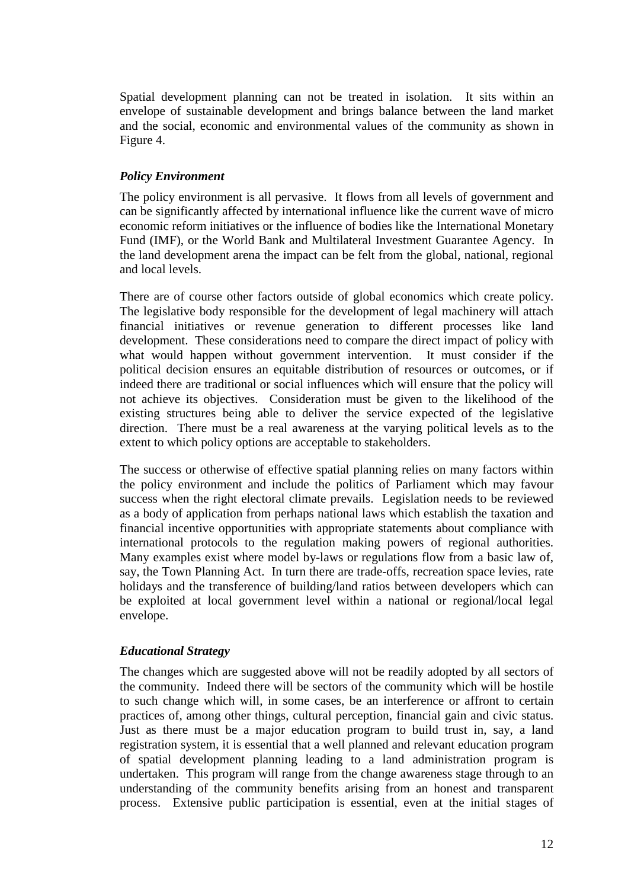Spatial development planning can not be treated in isolation. It sits within an envelope of sustainable development and brings balance between the land market and the social, economic and environmental values of the community as shown in Figure 4.

## *Policy Environment*

The policy environment is all pervasive. It flows from all levels of government and can be significantly affected by international influence like the current wave of micro economic reform initiatives or the influence of bodies like the International Monetary Fund (IMF), or the World Bank and Multilateral Investment Guarantee Agency. In the land development arena the impact can be felt from the global, national, regional and local levels.

There are of course other factors outside of global economics which create policy. The legislative body responsible for the development of legal machinery will attach financial initiatives or revenue generation to different processes like land development. These considerations need to compare the direct impact of policy with what would happen without government intervention. It must consider if the political decision ensures an equitable distribution of resources or outcomes, or if indeed there are traditional or social influences which will ensure that the policy will not achieve its objectives. Consideration must be given to the likelihood of the existing structures being able to deliver the service expected of the legislative direction. There must be a real awareness at the varying political levels as to the extent to which policy options are acceptable to stakeholders.

The success or otherwise of effective spatial planning relies on many factors within the policy environment and include the politics of Parliament which may favour success when the right electoral climate prevails. Legislation needs to be reviewed as a body of application from perhaps national laws which establish the taxation and financial incentive opportunities with appropriate statements about compliance with international protocols to the regulation making powers of regional authorities. Many examples exist where model by-laws or regulations flow from a basic law of, say, the Town Planning Act. In turn there are trade-offs, recreation space levies, rate holidays and the transference of building/land ratios between developers which can be exploited at local government level within a national or regional/local legal envelope.

#### *Educational Strategy*

The changes which are suggested above will not be readily adopted by all sectors of the community. Indeed there will be sectors of the community which will be hostile to such change which will, in some cases, be an interference or affront to certain practices of, among other things, cultural perception, financial gain and civic status. Just as there must be a major education program to build trust in, say, a land registration system, it is essential that a well planned and relevant education program of spatial development planning leading to a land administration program is undertaken. This program will range from the change awareness stage through to an understanding of the community benefits arising from an honest and transparent process. Extensive public participation is essential, even at the initial stages of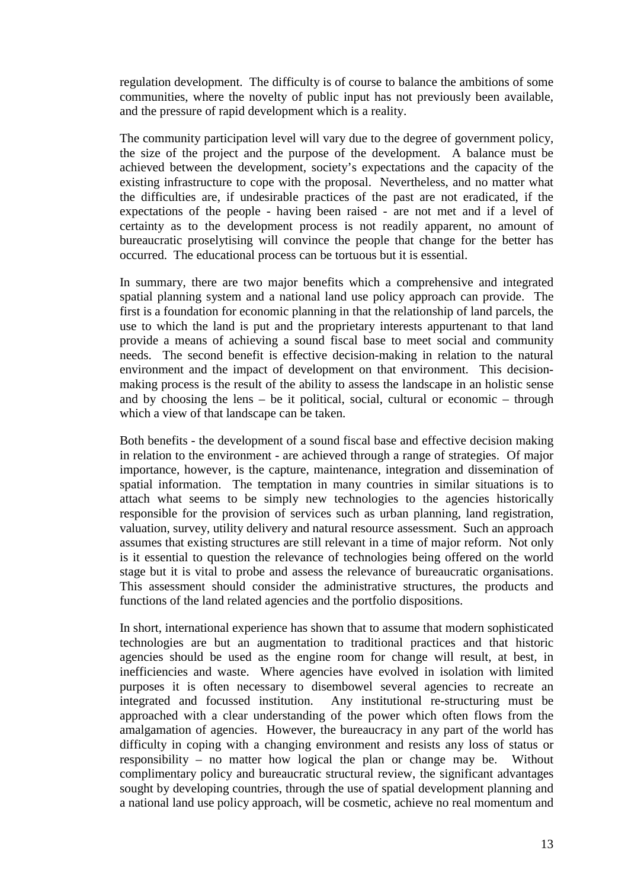regulation development. The difficulty is of course to balance the ambitions of some communities, where the novelty of public input has not previously been available, and the pressure of rapid development which is a reality.

The community participation level will vary due to the degree of government policy, the size of the project and the purpose of the development. A balance must be achieved between the development, society's expectations and the capacity of the existing infrastructure to cope with the proposal. Nevertheless, and no matter what the difficulties are, if undesirable practices of the past are not eradicated, if the expectations of the people - having been raised - are not met and if a level of certainty as to the development process is not readily apparent, no amount of bureaucratic proselytising will convince the people that change for the better has occurred. The educational process can be tortuous but it is essential.

In summary, there are two major benefits which a comprehensive and integrated spatial planning system and a national land use policy approach can provide. The first is a foundation for economic planning in that the relationship of land parcels, the use to which the land is put and the proprietary interests appurtenant to that land provide a means of achieving a sound fiscal base to meet social and community needs. The second benefit is effective decision-making in relation to the natural environment and the impact of development on that environment. This decisionmaking process is the result of the ability to assess the landscape in an holistic sense and by choosing the lens – be it political, social, cultural or economic – through which a view of that landscape can be taken.

Both benefits - the development of a sound fiscal base and effective decision making in relation to the environment - are achieved through a range of strategies. Of major importance, however, is the capture, maintenance, integration and dissemination of spatial information. The temptation in many countries in similar situations is to attach what seems to be simply new technologies to the agencies historically responsible for the provision of services such as urban planning, land registration, valuation, survey, utility delivery and natural resource assessment. Such an approach assumes that existing structures are still relevant in a time of major reform. Not only is it essential to question the relevance of technologies being offered on the world stage but it is vital to probe and assess the relevance of bureaucratic organisations. This assessment should consider the administrative structures, the products and functions of the land related agencies and the portfolio dispositions.

In short, international experience has shown that to assume that modern sophisticated technologies are but an augmentation to traditional practices and that historic agencies should be used as the engine room for change will result, at best, in inefficiencies and waste. Where agencies have evolved in isolation with limited purposes it is often necessary to disembowel several agencies to recreate an integrated and focussed institution. Any institutional re-structuring must be approached with a clear understanding of the power which often flows from the amalgamation of agencies. However, the bureaucracy in any part of the world has difficulty in coping with a changing environment and resists any loss of status or responsibility – no matter how logical the plan or change may be. Without complimentary policy and bureaucratic structural review, the significant advantages sought by developing countries, through the use of spatial development planning and a national land use policy approach, will be cosmetic, achieve no real momentum and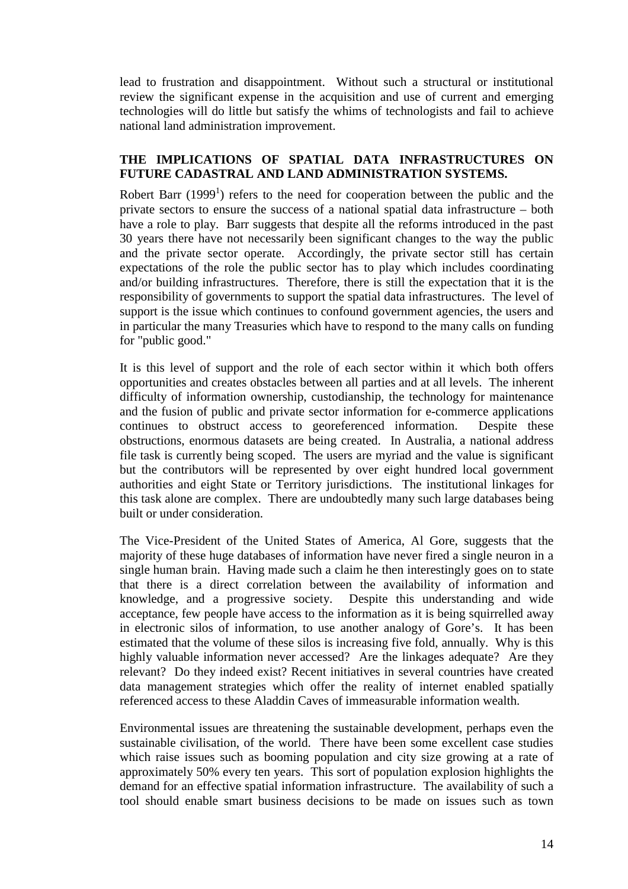lead to frustration and disappointment. Without such a structural or institutional review the significant expense in the acquisition and use of current and emerging technologies will do little but satisfy the whims of technologists and fail to achieve national land administration improvement.

### **THE IMPLICATIONS OF SPATIAL DATA INFRASTRUCTURES ON FUTURE CADASTRAL AND LAND ADMINISTRATION SYSTEMS.**

Robert Barr (1999<sup>1</sup>) refers to the need for cooperation between the public and the private sectors to ensure the success of a national spatial data infrastructure – both have a role to play. Barr suggests that despite all the reforms introduced in the past 30 years there have not necessarily been significant changes to the way the public and the private sector operate. Accordingly, the private sector still has certain expectations of the role the public sector has to play which includes coordinating and/or building infrastructures. Therefore, there is still the expectation that it is the responsibility of governments to support the spatial data infrastructures. The level of support is the issue which continues to confound government agencies, the users and in particular the many Treasuries which have to respond to the many calls on funding for "public good."

It is this level of support and the role of each sector within it which both offers opportunities and creates obstacles between all parties and at all levels. The inherent difficulty of information ownership, custodianship, the technology for maintenance and the fusion of public and private sector information for e-commerce applications continues to obstruct access to georeferenced information. Despite these obstructions, enormous datasets are being created. In Australia, a national address file task is currently being scoped. The users are myriad and the value is significant but the contributors will be represented by over eight hundred local government authorities and eight State or Territory jurisdictions. The institutional linkages for this task alone are complex. There are undoubtedly many such large databases being built or under consideration.

The Vice-President of the United States of America, Al Gore, suggests that the majority of these huge databases of information have never fired a single neuron in a single human brain. Having made such a claim he then interestingly goes on to state that there is a direct correlation between the availability of information and knowledge, and a progressive society. Despite this understanding and wide acceptance, few people have access to the information as it is being squirrelled away in electronic silos of information, to use another analogy of Gore's. It has been estimated that the volume of these silos is increasing five fold, annually. Why is this highly valuable information never accessed? Are the linkages adequate? Are they relevant? Do they indeed exist? Recent initiatives in several countries have created data management strategies which offer the reality of internet enabled spatially referenced access to these Aladdin Caves of immeasurable information wealth.

Environmental issues are threatening the sustainable development, perhaps even the sustainable civilisation, of the world. There have been some excellent case studies which raise issues such as booming population and city size growing at a rate of approximately 50% every ten years. This sort of population explosion highlights the demand for an effective spatial information infrastructure. The availability of such a tool should enable smart business decisions to be made on issues such as town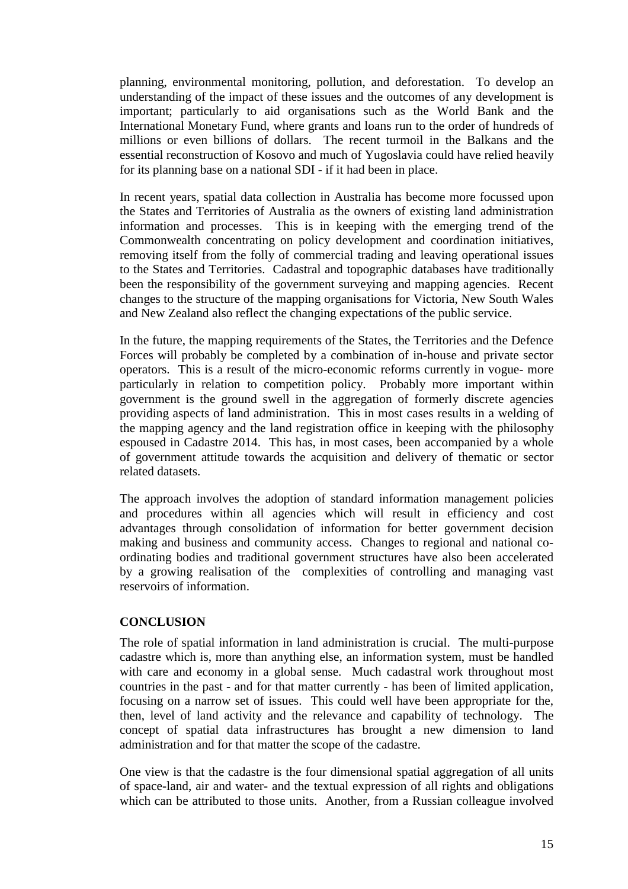planning, environmental monitoring, pollution, and deforestation. To develop an understanding of the impact of these issues and the outcomes of any development is important; particularly to aid organisations such as the World Bank and the International Monetary Fund, where grants and loans run to the order of hundreds of millions or even billions of dollars. The recent turmoil in the Balkans and the essential reconstruction of Kosovo and much of Yugoslavia could have relied heavily for its planning base on a national SDI - if it had been in place.

In recent years, spatial data collection in Australia has become more focussed upon the States and Territories of Australia as the owners of existing land administration information and processes. This is in keeping with the emerging trend of the Commonwealth concentrating on policy development and coordination initiatives, removing itself from the folly of commercial trading and leaving operational issues to the States and Territories. Cadastral and topographic databases have traditionally been the responsibility of the government surveying and mapping agencies. Recent changes to the structure of the mapping organisations for Victoria, New South Wales and New Zealand also reflect the changing expectations of the public service.

In the future, the mapping requirements of the States, the Territories and the Defence Forces will probably be completed by a combination of in-house and private sector operators. This is a result of the micro-economic reforms currently in vogue- more particularly in relation to competition policy. Probably more important within government is the ground swell in the aggregation of formerly discrete agencies providing aspects of land administration. This in most cases results in a welding of the mapping agency and the land registration office in keeping with the philosophy espoused in Cadastre 2014. This has, in most cases, been accompanied by a whole of government attitude towards the acquisition and delivery of thematic or sector related datasets.

The approach involves the adoption of standard information management policies and procedures within all agencies which will result in efficiency and cost advantages through consolidation of information for better government decision making and business and community access. Changes to regional and national coordinating bodies and traditional government structures have also been accelerated by a growing realisation of the complexities of controlling and managing vast reservoirs of information.

## **CONCLUSION**

The role of spatial information in land administration is crucial. The multi-purpose cadastre which is, more than anything else, an information system, must be handled with care and economy in a global sense. Much cadastral work throughout most countries in the past - and for that matter currently - has been of limited application, focusing on a narrow set of issues. This could well have been appropriate for the, then, level of land activity and the relevance and capability of technology. The concept of spatial data infrastructures has brought a new dimension to land administration and for that matter the scope of the cadastre.

One view is that the cadastre is the four dimensional spatial aggregation of all units of space-land, air and water- and the textual expression of all rights and obligations which can be attributed to those units. Another, from a Russian colleague involved